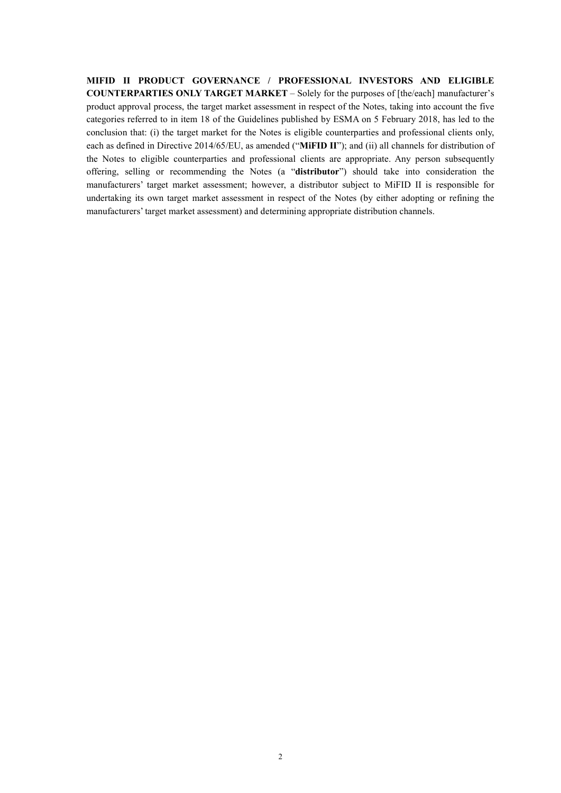MIFID II PRODUCT GOVERNANCE / PROFESSIONAL INVESTORS AND ELIGIBLE COUNTERPARTIES ONLY TARGET MARKET – Solely for the purposes of [the/each] manufacturer's product approval process, the target market assessment in respect of the Notes, taking into account the five categories referred to in item 18 of the Guidelines published by ESMA on 5 February 2018, has led to the conclusion that: (i) the target market for the Notes is eligible counterparties and professional clients only, each as defined in Directive 2014/65/EU, as amended ("MiFID II"); and (ii) all channels for distribution of the Notes to eligible counterparties and professional clients are appropriate. Any person subsequently offering, selling or recommending the Notes (a "distributor") should take into consideration the manufacturers' target market assessment; however, a distributor subject to MiFID II is responsible for undertaking its own target market assessment in respect of the Notes (by either adopting or refining the manufacturers' target market assessment) and determining appropriate distribution channels.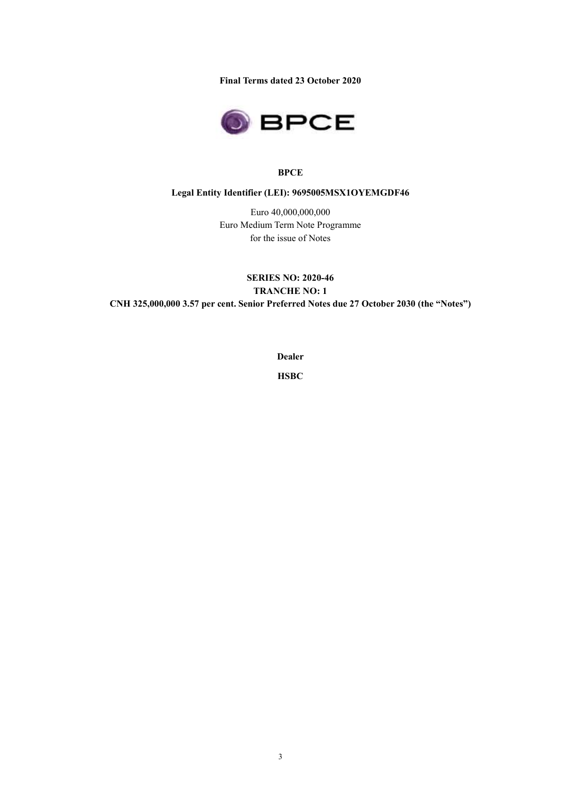Final Terms dated 23 October 2020



# **BPCE**

# Legal Entity Identifier (LEI): 9695005MSX1OYEMGDF46

Euro 40,000,000,000 Euro Medium Term Note Programme for the issue of Notes

SERIES NO: 2020-46 TRANCHE NO: 1 CNH 325,000,000 3.57 per cent. Senior Preferred Notes due 27 October 2030 (the "Notes")

Dealer

**HSBC**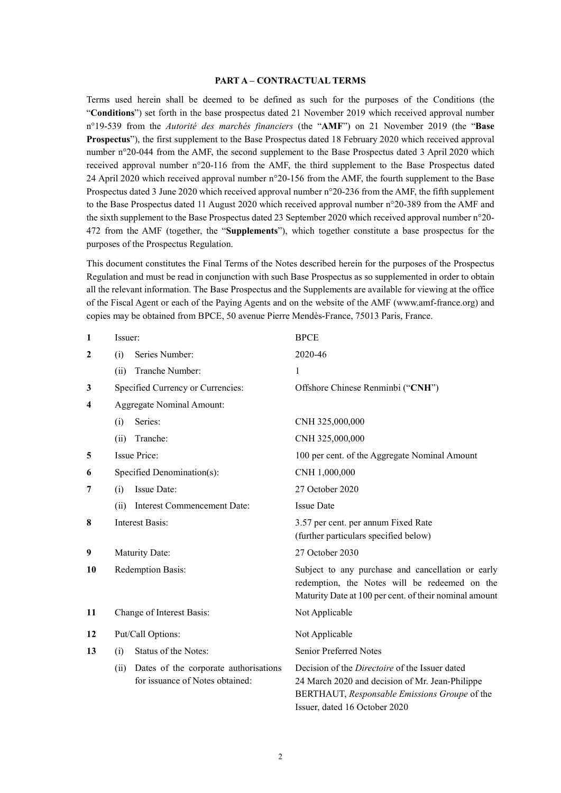### PART A – CONTRACTUAL TERMS

Terms used herein shall be deemed to be defined as such for the purposes of the Conditions (the "Conditions") set forth in the base prospectus dated 21 November 2019 which received approval number n°19-539 from the Autorité des marchés financiers (the "AMF") on 21 November 2019 (the "Base Prospectus"), the first supplement to the Base Prospectus dated 18 February 2020 which received approval number n°20-044 from the AMF, the second supplement to the Base Prospectus dated 3 April 2020 which received approval number n°20-116 from the AMF, the third supplement to the Base Prospectus dated 24 April 2020 which received approval number n°20-156 from the AMF, the fourth supplement to the Base Prospectus dated 3 June 2020 which received approval number n°20-236 from the AMF, the fifth supplement to the Base Prospectus dated 11 August 2020 which received approval number n°20-389 from the AMF and the sixth supplement to the Base Prospectus dated 23 September 2020 which received approval number n°20- 472 from the AMF (together, the "Supplements"), which together constitute a base prospectus for the purposes of the Prospectus Regulation.

This document constitutes the Final Terms of the Notes described herein for the purposes of the Prospectus Regulation and must be read in conjunction with such Base Prospectus as so supplemented in order to obtain all the relevant information. The Base Prospectus and the Supplements are available for viewing at the office of the Fiscal Agent or each of the Paying Agents and on the website of the AMF (www.amf-france.org) and copies may be obtained from BPCE, 50 avenue Pierre Mendès-France, 75013 Paris, France.

| $\mathbf{1}$            | Issuer:                                                                          | <b>BPCE</b>                                                                                                                                                                                |
|-------------------------|----------------------------------------------------------------------------------|--------------------------------------------------------------------------------------------------------------------------------------------------------------------------------------------|
| $\mathbf{2}$            | Series Number:<br>(i)                                                            | 2020-46                                                                                                                                                                                    |
|                         | Tranche Number:<br>(ii)                                                          | 1                                                                                                                                                                                          |
| 3                       | Specified Currency or Currencies:                                                | Offshore Chinese Renminbi ("CNH")                                                                                                                                                          |
| $\overline{\mathbf{4}}$ | <b>Aggregate Nominal Amount:</b>                                                 |                                                                                                                                                                                            |
|                         | Series:<br>(i)                                                                   | CNH 325,000,000                                                                                                                                                                            |
|                         | Tranche:<br>(ii)                                                                 | CNH 325,000,000                                                                                                                                                                            |
| 5                       | <b>Issue Price:</b>                                                              | 100 per cent. of the Aggregate Nominal Amount                                                                                                                                              |
| 6                       | Specified Denomination(s):                                                       | CNH 1,000,000                                                                                                                                                                              |
| 7                       | <b>Issue Date:</b><br>(i)                                                        | 27 October 2020                                                                                                                                                                            |
|                         | <b>Interest Commencement Date:</b><br>(ii)                                       | <b>Issue Date</b>                                                                                                                                                                          |
| 8                       | <b>Interest Basis:</b>                                                           | 3.57 per cent. per annum Fixed Rate<br>(further particulars specified below)                                                                                                               |
| 9                       | Maturity Date:                                                                   | 27 October 2030                                                                                                                                                                            |
| 10                      | Redemption Basis:                                                                | Subject to any purchase and cancellation or early<br>redemption, the Notes will be redeemed on the<br>Maturity Date at 100 per cent. of their nominal amount                               |
| 11                      | Change of Interest Basis:                                                        | Not Applicable                                                                                                                                                                             |
| 12                      | Put/Call Options:                                                                | Not Applicable                                                                                                                                                                             |
| 13                      | Status of the Notes:<br>(i)                                                      | Senior Preferred Notes                                                                                                                                                                     |
|                         | Dates of the corporate authorisations<br>(ii)<br>for issuance of Notes obtained: | Decision of the <i>Directoire</i> of the Issuer dated<br>24 March 2020 and decision of Mr. Jean-Philippe<br>BERTHAUT, Responsable Emissions Groupe of the<br>Issuer, dated 16 October 2020 |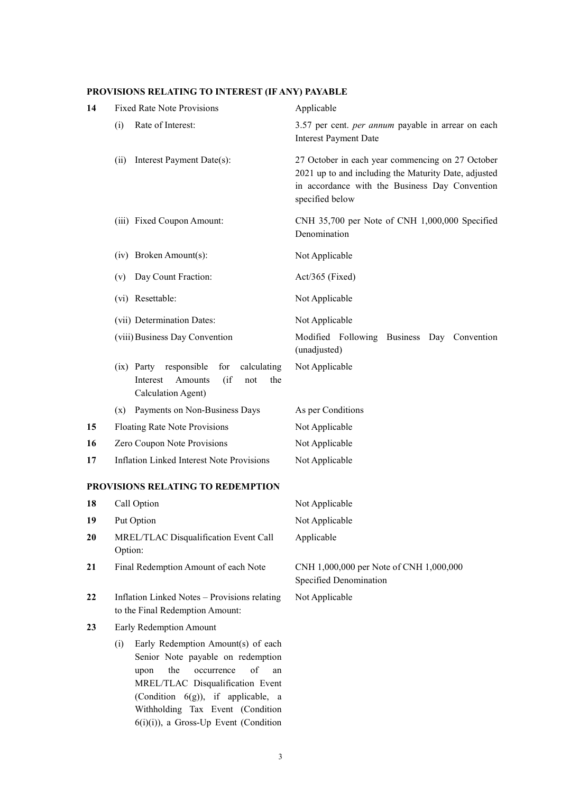# PROVISIONS RELATING TO INTEREST (IF ANY) PAYABLE

| 14 | <b>Fixed Rate Note Provisions</b>                                                                               | Applicable                                                                                                                                                                    |
|----|-----------------------------------------------------------------------------------------------------------------|-------------------------------------------------------------------------------------------------------------------------------------------------------------------------------|
|    | Rate of Interest:<br>(i)                                                                                        | 3.57 per cent. <i>per annum</i> payable in arrear on each<br><b>Interest Payment Date</b>                                                                                     |
|    | Interest Payment Date(s):<br>(ii)                                                                               | 27 October in each year commencing on 27 October<br>2021 up to and including the Maturity Date, adjusted<br>in accordance with the Business Day Convention<br>specified below |
|    | (iii) Fixed Coupon Amount:                                                                                      | CNH 35,700 per Note of CNH 1,000,000 Specified<br>Denomination                                                                                                                |
|    | (iv) Broken Amount(s):                                                                                          | Not Applicable                                                                                                                                                                |
|    | Day Count Fraction:<br>(v)                                                                                      | Act/365 (Fixed)                                                                                                                                                               |
|    | (vi) Resettable:                                                                                                | Not Applicable                                                                                                                                                                |
|    | (vii) Determination Dates:                                                                                      | Not Applicable                                                                                                                                                                |
|    | (viii) Business Day Convention                                                                                  | Modified Following Business Day Convention<br>(unadjusted)                                                                                                                    |
|    | calculating<br>(ix) Party responsible<br>for<br>(if)<br>Amounts<br>the<br>Interest<br>not<br>Calculation Agent) | Not Applicable                                                                                                                                                                |
|    | Payments on Non-Business Days<br>(x)                                                                            | As per Conditions                                                                                                                                                             |
| 15 | Floating Rate Note Provisions                                                                                   | Not Applicable                                                                                                                                                                |
| 16 | Zero Coupon Note Provisions                                                                                     | Not Applicable                                                                                                                                                                |
| 17 | <b>Inflation Linked Interest Note Provisions</b>                                                                | Not Applicable                                                                                                                                                                |
|    | PROVISIONS RELATING TO REDEMPTION                                                                               |                                                                                                                                                                               |
| 18 | Call Option                                                                                                     | Not Applicable                                                                                                                                                                |
| 19 | Put Option                                                                                                      | Not Applicable                                                                                                                                                                |

Applicable

Not Applicable

21 Final Redemption Amount of each Note CNH 1,000,000 per Note of CNH 1,000,000 Specified Denomination

22 Inflation Linked Notes – Provisions relating to the Final Redemption Amount:

20 MREL/TLAC Disqualification Event Call

23 Early Redemption Amount

Option:

 (i) Early Redemption Amount(s) of each Senior Note payable on redemption upon the occurrence of an MREL/TLAC Disqualification Event (Condition 6(g)), if applicable, a Withholding Tax Event (Condition 6(i)(i)), a Gross-Up Event (Condition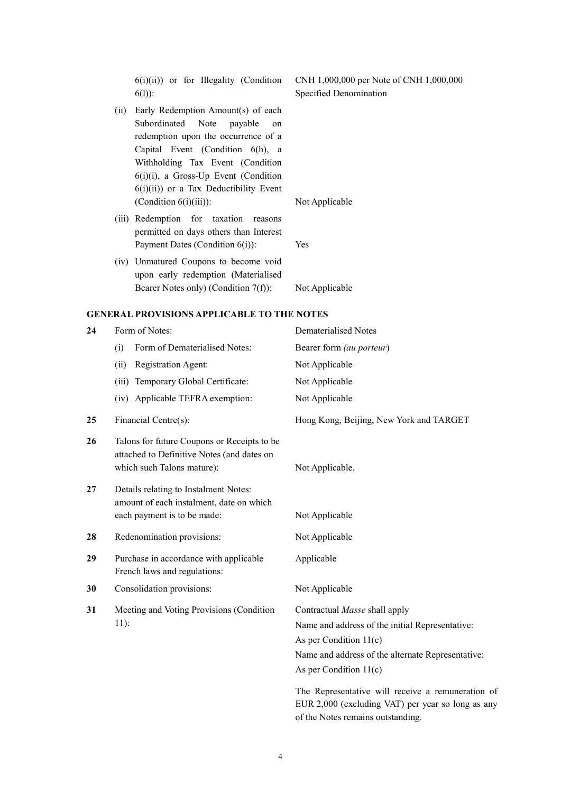$6(i)(ii)$  or for Illegality (Condition 6(l)):

- (ii) Early Redemption Amount(s) of each Subordinated Note payable on redemption upon the occurrence of a Capital Event (Condition 6(h), a Withholding Tax Event (Condition 6(i)(i), a Gross-Up Event (Condition 6(i)(ii)) or a Tax Deductibility Event (Condition 6(i)(iii)): Not Applicable
- (iii) Redemption for taxation reasons permitted on days others than Interest Payment Dates (Condition 6(i)): Yes
- (iv) Unmatured Coupons to become void upon early redemption (Materialised Bearer Notes only) (Condition 7(f)): Not Applicable

### GENERAL PROVISIONS APPLICABLE TO THE NOTES

| 24 | Form of Notes:                                                                                                          | Dematerialised Notes                                                                                   |
|----|-------------------------------------------------------------------------------------------------------------------------|--------------------------------------------------------------------------------------------------------|
|    | Form of Dematerialised Notes:<br>(i)                                                                                    | Bearer form (au porteur)                                                                               |
|    | Registration Agent:<br>(ii)                                                                                             | Not Applicable                                                                                         |
|    | Temporary Global Certificate:<br>(iii)                                                                                  | Not Applicable                                                                                         |
|    | (iv) Applicable TEFRA exemption:                                                                                        | Not Applicable                                                                                         |
| 25 | Financial Centre(s):                                                                                                    | Hong Kong, Beijing, New York and TARGET                                                                |
| 26 | Talons for future Coupons or Receipts to be<br>attached to Definitive Notes (and dates on<br>which such Talons mature): | Not Applicable.                                                                                        |
| 27 | Details relating to Instalment Notes:<br>amount of each instalment, date on which<br>each payment is to be made:        | Not Applicable                                                                                         |
| 28 | Redenomination provisions:                                                                                              | Not Applicable                                                                                         |
| 29 | Purchase in accordance with applicable<br>French laws and regulations:                                                  | Applicable                                                                                             |
| 30 | Consolidation provisions:                                                                                               | Not Applicable                                                                                         |
| 31 | Meeting and Voting Provisions (Condition                                                                                | Contractual Masse shall apply                                                                          |
|    | $11$ :                                                                                                                  | Name and address of the initial Representative:                                                        |
|    |                                                                                                                         | As per Condition $11(c)$                                                                               |
|    |                                                                                                                         | Name and address of the alternate Representative:                                                      |
|    |                                                                                                                         | As per Condition $11(c)$                                                                               |
|    |                                                                                                                         | The Representative will receive a remuneration of<br>EUR 2,000 (excluding VAT) per year so long as any |

CNH 1,000,000 per Note of CNH 1,000,000 Specified Denomination

of the Notes remains outstanding.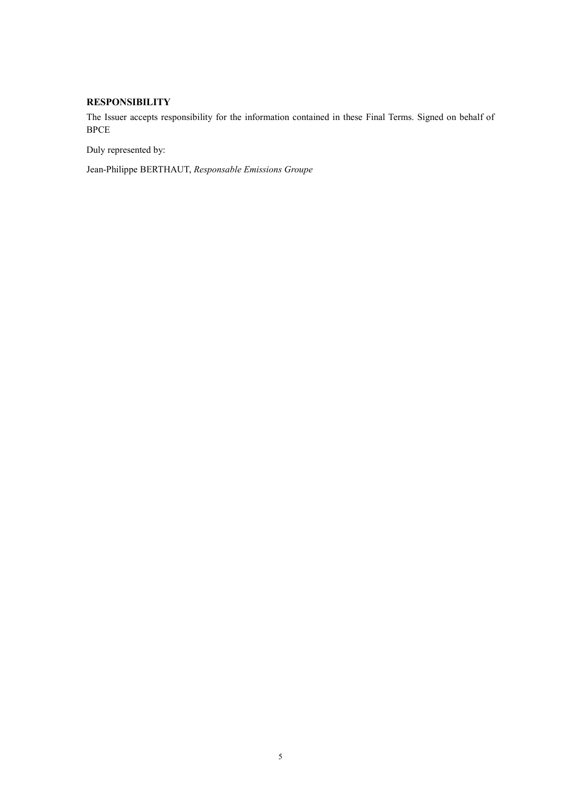# **RESPONSIBILITY**

The Issuer accepts responsibility for the information contained in these Final Terms. Signed on behalf of **BPCE** 

Duly represented by:

Jean-Philippe BERTHAUT, Responsable Emissions Groupe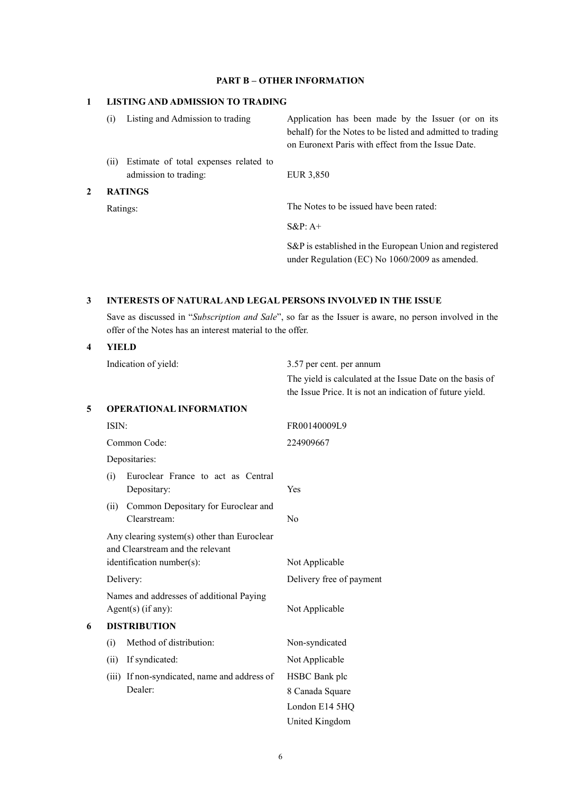# PART B – OTHER INFORMATION

## 1 LISTING AND ADMISSION TO TRADING

|                | Listing and Admission to trading                               | Application has been made by the Issuer (or on its<br>behalf) for the Notes to be listed and admitted to trading<br>on Euronext Paris with effect from the Issue Date. |
|----------------|----------------------------------------------------------------|------------------------------------------------------------------------------------------------------------------------------------------------------------------------|
| (11)           | Estimate of total expenses related to<br>admission to trading: | EUR 3,850                                                                                                                                                              |
| <b>RATINGS</b> |                                                                |                                                                                                                                                                        |
|                | Ratings:                                                       | The Notes to be issued have been rated:                                                                                                                                |

S&P: A+

S&P is established in the European Union and registered under Regulation (EC) No 1060/2009 as amended.

## 3 INTERESTS OF NATURAL AND LEGAL PERSONS INVOLVED IN THE ISSUE

 Save as discussed in "Subscription and Sale", so far as the Issuer is aware, no person involved in the offer of the Notes has an interest material to the offer.

### 4 YIELD

Indication of yield: 3.57 per cent. per annum The yield is calculated at the Issue Date on the basis of the Issue Price. It is not an indication of future yield. 5 OPERATIONAL INFORMATION ISIN: FR00140009L9 Common Code: 224909667 Depositaries: (i) Euroclear France to act as Central Depositary: Yes (ii) Common Depositary for Euroclear and Clearstream: No Any clearing system(s) other than Euroclear and Clearstream and the relevant identification number(s): Not Applicable Delivery: Delivery free of payment Names and addresses of additional Paying Agent(s) (if any): Not Applicable 6 DISTRIBUTION (i) Method of distribution: Non-syndicated (ii) If syndicated: Not Applicable (iii) If non-syndicated, name and address of Dealer: HSBC Bank plc 8 Canada Square London E14 5HQ

United Kingdom